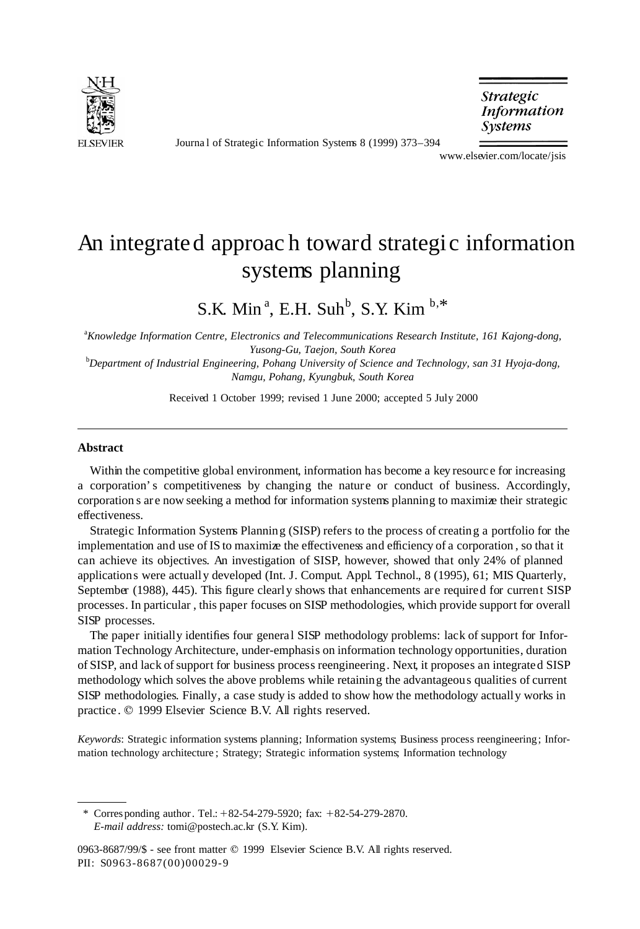

Journa l of Strategic Information Systems 8 (1999) 373–394

**Strategic Information** *Systems* 

www.elsevier.com/locate/jsis

## An integrated approach toward strategic information systems planning

S.K. Min<sup>a</sup>, E.H. Suh<sup>b</sup>, S.Y. Kim<sup>b,\*</sup>

a *Knowledge Information Centre, Electronics and Telecommunications Research Institute, 161 Kajong-dong, Yusong-Gu, Taejon, South Korea*

b *Department of Industrial Engineering, Pohang University of Science and Technology, san 31 Hyoja-dong, Namgu, Pohang, Kyungbuk, South Korea*

Received 1 October 1999; revised 1 June 2000; accepted 5 July 2000

#### **Abstract**

Within the competitive global environment, information has become a key resourc e for increasing a corporation's competitiveness by changing the nature or conduct of business. Accordingly, corporation s are now seeking a method for information systems planning to maximize their strategic effectiveness.

Strategic Information Systems Planning (SISP) refers to the process of creating a portfolio for the implementation and use of IS to maximize the effectiveness and efficiency of a corporation , so that it can achieve its objectives. An investigation of SISP, however, showed that only 24% of planned applications were actually developed (Int. J. Comput. Appl. Technol., 8 (1995), 61; MIS Quarterly, September (1988), 445). This figure clearly shows that enhancements are required for current SISP processes. In particular , this paper focuses on SISP methodologies, which provide support for overall SISP processes.

The paper initially identifies four general SISP methodology problems: lack of support for Information Technology Architecture, under-emphasis on information technology opportunities, duration of SISP, and lack of support for business process reengineering. Next, it proposes an integrated SISP methodology which solves the above problems while retaining the advantageous qualities of current SISP methodologies. Finally, a case study is added to show how the methodology actually works in practice.  $©$  1999 Elsevier Science B.V. All rights reserved.

*Keywords*: Strategic information systems planning; Information systems; Business process reengineering; Information technology architecture ; Strategy; Strategic information systems; Information technology

\* Corresponding author. Tel.:  $+82-54-279-5920$ ; fax:  $+82-54-279-2870$ . *E-mail address:* tomi@postech.ac.kr (S.Y. Kim).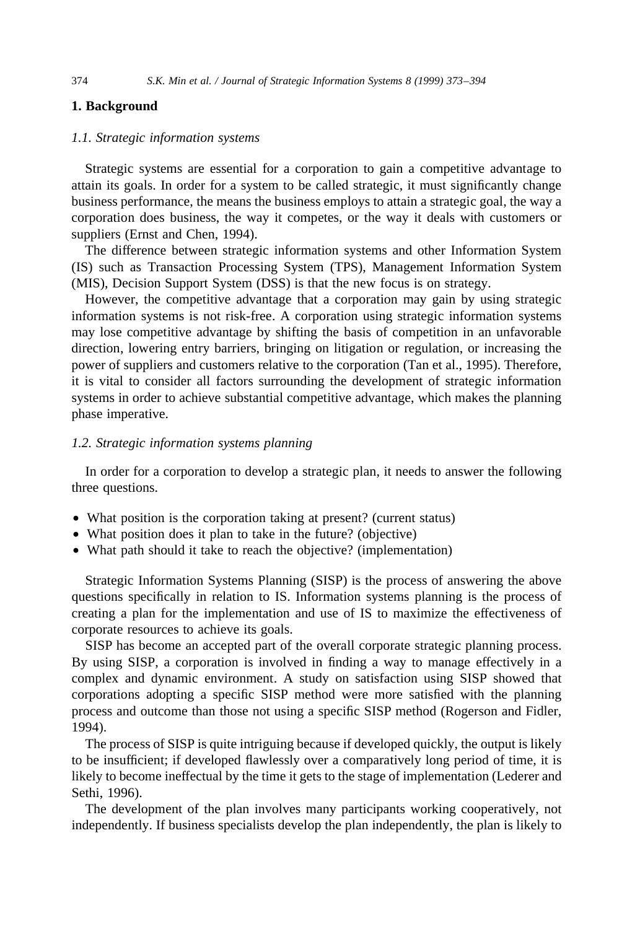### **1. Background**

#### *1.1. Strategic information systems*

Strategic systems are essential for a corporation to gain a competitive advantage to attain its goals. In order for a system to be called strategic, it must significantly change business performance, the means the business employs to attain a strategic goal, the way a corporation does business, the way it competes, or the way it deals with customers or suppliers (Ernst and Chen, 1994).

The difference between strategic information systems and other Information System (IS) such as Transaction Processing System (TPS), Management Information System (MIS), Decision Support System (DSS) is that the new focus is on strategy.

However, the competitive advantage that a corporation may gain by using strategic information systems is not risk-free. A corporation using strategic information systems may lose competitive advantage by shifting the basis of competition in an unfavorable direction, lowering entry barriers, bringing on litigation or regulation, or increasing the power of suppliers and customers relative to the corporation (Tan et al., 1995). Therefore, it is vital to consider all factors surrounding the development of strategic information systems in order to achieve substantial competitive advantage, which makes the planning phase imperative.

#### *1.2. Strategic information systems planning*

In order for a corporation to develop a strategic plan, it needs to answer the following three questions.

- What position is the corporation taking at present? (current status)
- What position does it plan to take in the future? (objective)
- What path should it take to reach the objective? (implementation)

Strategic Information Systems Planning (SISP) is the process of answering the above questions specifically in relation to IS. Information systems planning is the process of creating a plan for the implementation and use of IS to maximize the effectiveness of corporate resources to achieve its goals.

SISP has become an accepted part of the overall corporate strategic planning process. By using SISP, a corporation is involved in finding a way to manage effectively in a complex and dynamic environment. A study on satisfaction using SISP showed that corporations adopting a specific SISP method were more satisfied with the planning process and outcome than those not using a specific SISP method (Rogerson and Fidler, 1994).

The process of SISP is quite intriguing because if developed quickly, the output is likely to be insufficient; if developed flawlessly over a comparatively long period of time, it is likely to become ineffectual by the time it gets to the stage of implementation (Lederer and Sethi, 1996).

The development of the plan involves many participants working cooperatively, not independently. If business specialists develop the plan independently, the plan is likely to